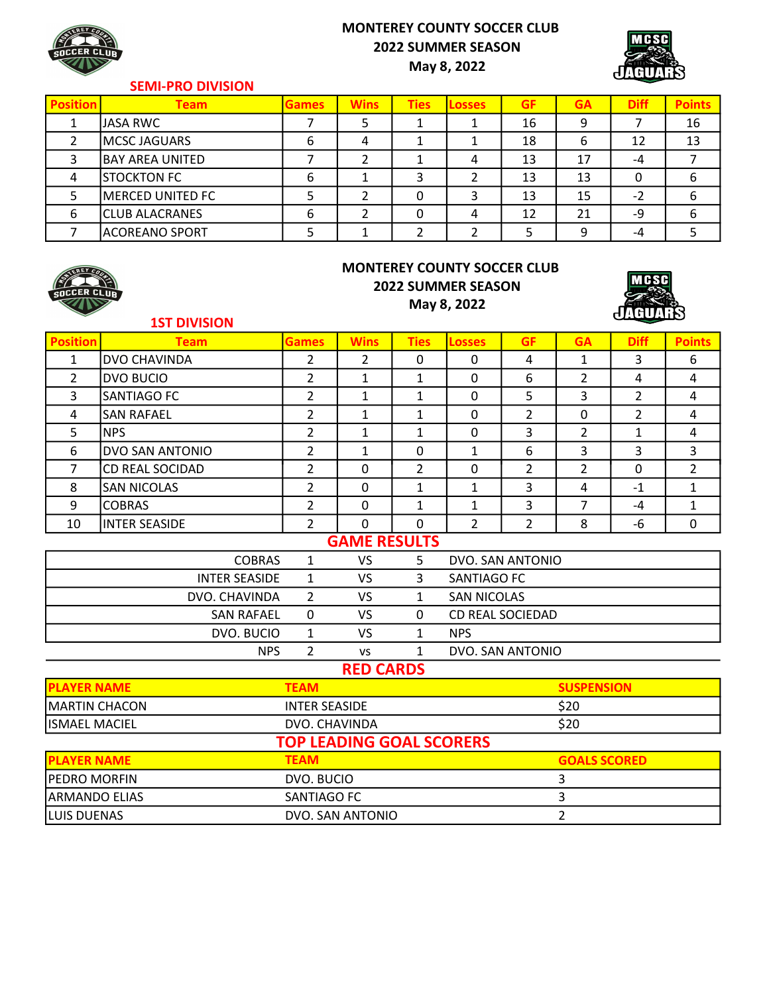# MONTEREY COUNTY SOCCER CLUB 2022 SUMMER SEASON

May 8, 2022



### SEMI-PRO DIVISION

| <b>Position</b> | Team                   | <b>Games</b> | <b>Wins</b> | <b>Ties</b> | <b>Losses</b> | <b>GF</b> | <b>GA</b> | <b>Diff</b> | <b>Points</b> |
|-----------------|------------------------|--------------|-------------|-------------|---------------|-----------|-----------|-------------|---------------|
|                 | JASA RWC               |              |             |             |               | 16        | 9         |             | 16            |
|                 | <b>MCSC JAGUARS</b>    | b            |             |             |               | 18        | 6         | 12          | 13            |
|                 | <b>BAY AREA UNITED</b> |              |             |             | 4             | 13        | 17        | -4          |               |
|                 | STOCKTON FC            | b            |             |             |               | 13        | 13        | 0           | ь             |
|                 | MERCED UNITED FC       |              |             | 0           |               | 13        | 15        | $-2$        | b             |
| 6               | <b>CLUB ALACRANES</b>  | b            |             |             |               | 12        | 21        | -9          | 6             |
|                 | ACOREANO SPORT         |              |             |             |               |           | q         | -4          |               |



### MONTEREY COUNTY SOCCER CLUB 2022 SUMMER SEASON May 8, 2022



#### 1ST DIVISION

| <b>Position</b>      | <b>Team</b>            | <b>Games</b>                    | <b>Wins</b>      | <b>Ties</b>    | <b>Losses</b>           | <b>GF</b>        | <b>GA</b>           | <b>Diff</b>    | <b>Points</b>  |
|----------------------|------------------------|---------------------------------|------------------|----------------|-------------------------|------------------|---------------------|----------------|----------------|
| $\mathbf{1}$         | <b>DVO CHAVINDA</b>    | $\overline{2}$                  | $\overline{2}$   | $\mathbf 0$    | 0                       | $\overline{4}$   | $\mathbf{1}$        | $\overline{3}$ | 6              |
| $\overline{2}$       | <b>DVO BUCIO</b>       | $\overline{2}$                  | $\mathbf{1}$     | $\mathbf{1}$   | $\Omega$                | 6                | $\overline{2}$      | 4              | $\overline{4}$ |
| 3                    | SANTIAGO FC            | $\overline{2}$                  | $\mathbf{1}$     | $\mathbf{1}$   | $\mathbf 0$             | 5                | 3                   | $\overline{2}$ | 4              |
| 4                    | <b>SAN RAFAEL</b>      | 2                               | $\mathbf{1}$     | $\mathbf{1}$   | $\mathbf 0$             | $\overline{2}$   | 0                   | $\overline{2}$ | 4              |
| 5                    | <b>NPS</b>             | $\overline{2}$                  | $\mathbf{1}$     | $\mathbf{1}$   | $\mathbf 0$             | 3                | $\overline{2}$      | 1              | 4              |
| 6                    | DVO SAN ANTONIO        | $\overline{2}$                  | $\mathbf{1}$     | 0              | $\mathbf{1}$            | 6                | 3                   | $\overline{3}$ | $\overline{3}$ |
| $\overline{7}$       | <b>CD REAL SOCIDAD</b> | $\overline{2}$                  | $\overline{0}$   | $\overline{2}$ | $\overline{0}$          | $\overline{2}$   | $\overline{2}$      | $\mathbf{0}$   | $\overline{2}$ |
| 8                    | <b>SAN NICOLAS</b>     | $\overline{2}$                  | $\overline{0}$   | $\mathbf{1}$   | $\mathbf{1}$            | 3                | 4                   | $-1$           | $\mathbf{1}$   |
| 9                    | <b>COBRAS</b>          | $\overline{2}$                  | 0                | $\mathbf{1}$   | $\mathbf{1}$            | $\overline{3}$   | $\overline{7}$      | $-4$           | $\mathbf{1}$   |
| 10                   | <b>INTER SEASIDE</b>   | $\overline{2}$                  | $\overline{0}$   | $\mathbf 0$    | $\overline{2}$          | $\overline{2}$   | 8                   | $-6$           | 0              |
| <b>GAME RESULTS</b>  |                        |                                 |                  |                |                         |                  |                     |                |                |
|                      | <b>COBRAS</b>          | 1                               | <b>VS</b>        | 5              | DVO. SAN ANTONIO        |                  |                     |                |                |
|                      | <b>INTER SEASIDE</b>   | $\mathbf{1}$                    | <b>VS</b>        | 3              | SANTIAGO FC             |                  |                     |                |                |
|                      | DVO. CHAVINDA          | $\overline{2}$                  | <b>VS</b>        | $\mathbf{1}$   | <b>SAN NICOLAS</b>      |                  |                     |                |                |
|                      | <b>SAN RAFAEL</b>      | $\mathbf 0$                     | <b>VS</b>        | 0              | <b>CD REAL SOCIEDAD</b> |                  |                     |                |                |
|                      | DVO. BUCIO             | $\mathbf{1}$                    | <b>VS</b>        | $\mathbf{1}$   | <b>NPS</b>              |                  |                     |                |                |
|                      | <b>NPS</b>             | $\overline{2}$                  | <b>VS</b>        | $\mathbf{1}$   |                         | DVO. SAN ANTONIO |                     |                |                |
|                      |                        |                                 | <b>RED CARDS</b> |                |                         |                  |                     |                |                |
| <b>PLAYER NAME</b>   |                        | <b>TEAM</b>                     |                  |                |                         |                  | <b>SUSPENSION</b>   |                |                |
| <b>MARTIN CHACON</b> |                        | <b>INTER SEASIDE</b>            |                  |                |                         |                  | \$20                |                |                |
| <b>ISMAEL MACIEL</b> |                        | DVO. CHAVINDA                   |                  |                |                         |                  | \$20                |                |                |
|                      |                        | <b>TOP LEADING GOAL SCORERS</b> |                  |                |                         |                  |                     |                |                |
| <b>PLAYER NAME</b>   |                        | <b>TEAM</b>                     |                  |                |                         |                  | <b>GOALS SCORED</b> |                |                |
| PEDRO MORFIN         |                        | DVO. BUCIO                      |                  |                |                         |                  | 3                   |                |                |
| ARMANDO ELIAS        |                        | SANTIAGO FC                     |                  |                |                         |                  | 3                   |                |                |

LUIS DUENAS DVO. SAN ANTONIO 2

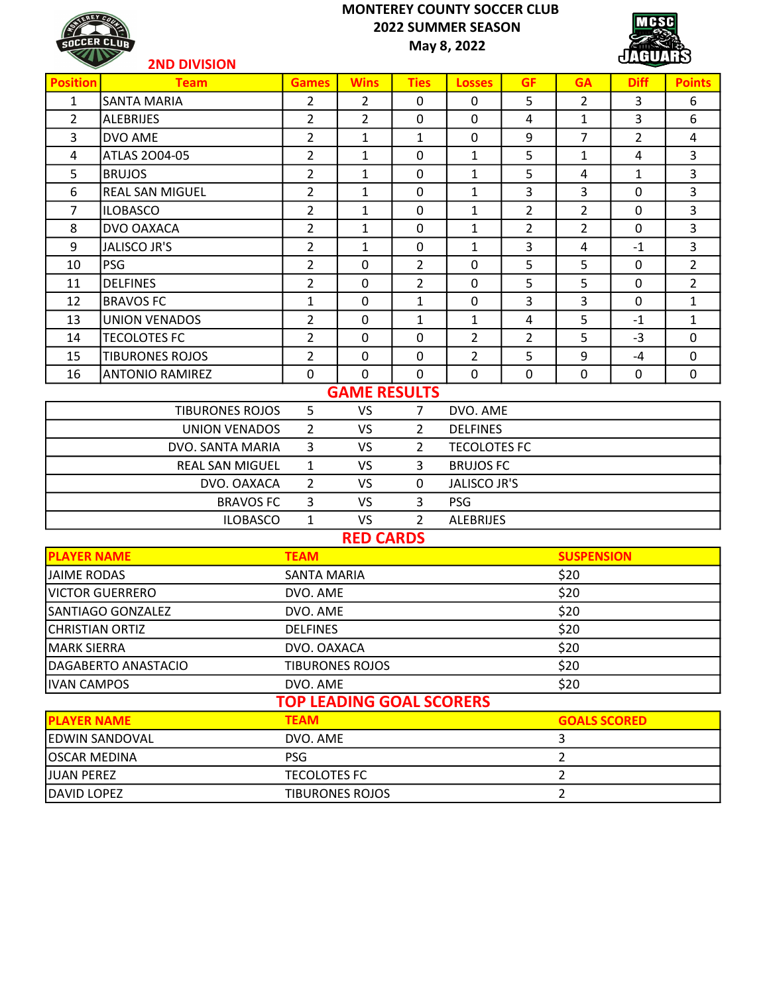## MONTEREY COUNTY SOCCER CLUB 2022 SUMMER SEASON May 8, 2022

**MCSC** GUA  $\mathbf{d}$ 

| <b>TEREY CON</b><br>SOCCER CLUR |
|---------------------------------|
|                                 |

| KILL               | <b>2ND DIVISION</b>    |                    |                     |                |                     |                |                   | dillump        |                |
|--------------------|------------------------|--------------------|---------------------|----------------|---------------------|----------------|-------------------|----------------|----------------|
| <b>Position</b>    | <b>Team</b>            | <b>Games</b>       | <b>Wins</b>         | <b>Ties</b>    | <b>Losses</b>       | <b>GF</b>      | <b>GA</b>         | <b>Diff</b>    | <b>Points</b>  |
| $\mathbf{1}$       | lsanta maria           | $\overline{2}$     | $\overline{2}$      | $\mathbf 0$    | $\mathbf 0$         | 5              | $\overline{2}$    | 3              | 6              |
| $\overline{2}$     | <b>ALEBRIJES</b>       | $\overline{2}$     | $\overline{2}$      | $\mathbf 0$    | $\mathbf 0$         | 4              | $\mathbf{1}$      | 3              | 6              |
| 3                  | DVO AME                | $\overline{2}$     | $\mathbf{1}$        | $\mathbf{1}$   | $\Omega$            | 9              | $\overline{7}$    | $\overline{2}$ | 4              |
| $\overline{4}$     | ATLAS 2004-05          | $\overline{2}$     | $\mathbf{1}$        | $\mathbf 0$    | $\mathbf{1}$        | 5              | $\mathbf{1}$      | 4              | 3              |
| 5                  | <b>BRUJOS</b>          | $\overline{2}$     | $\mathbf{1}$        | $\mathbf 0$    | $\mathbf{1}$        | 5              | 4                 | 1              | 3              |
| 6                  | <b>REAL SAN MIGUEL</b> | $\overline{2}$     | $\mathbf{1}$        | 0              | $\mathbf{1}$        | 3              | 3                 | 0              | 3              |
| $\overline{7}$     | <b>ILOBASCO</b>        | $\overline{2}$     | $\mathbf{1}$        | $\mathbf 0$    | $\mathbf{1}$        | $\overline{2}$ | $\overline{2}$    | $\mathbf 0$    | 3              |
| 8                  | DVO OAXACA             | $\overline{2}$     | $\mathbf{1}$        | $\mathbf 0$    | $\mathbf{1}$        | $\overline{2}$ | $\overline{2}$    | $\mathbf 0$    | 3              |
| 9                  | <b>JALISCO JR'S</b>    | $\overline{2}$     | $\mathbf{1}$        | $\mathbf 0$    | $\mathbf{1}$        | 3              | 4                 | $-1$           | 3              |
| 10                 | <b>PSG</b>             | $\overline{2}$     | $\Omega$            | $\overline{2}$ | $\mathbf 0$         | 5              | 5                 | $\mathbf 0$    | $\overline{2}$ |
| 11                 | <b>DELFINES</b>        | $\overline{2}$     | $\mathbf 0$         | $\overline{2}$ | $\mathbf 0$         | 5              | 5                 | $\mathbf 0$    | $\overline{2}$ |
| 12                 | <b>BRAVOS FC</b>       | $\mathbf{1}$       | $\mathbf 0$         | $\mathbf{1}$   | $\mathbf 0$         | 3              | 3                 | 0              | $\mathbf{1}$   |
| 13                 | <b>UNION VENADOS</b>   | $\overline{2}$     | $\mathbf 0$         | $\mathbf{1}$   | $\mathbf{1}$        | 4              | 5                 | $-1$           | 1              |
| 14                 | <b>TECOLOTES FC</b>    | $\overline{2}$     | $\Omega$            | $\mathbf 0$    | $\overline{2}$      | $\overline{2}$ | 5                 | $-3$           | $\mathbf 0$    |
| 15                 | <b>TIBURONES ROJOS</b> | $\overline{2}$     | 0                   | $\mathbf 0$    | $\overline{2}$      | 5              | 9                 | $-4$           | $\mathbf 0$    |
| 16                 | <b>ANTONIO RAMIREZ</b> | 0                  | $\Omega$            | $\mathbf 0$    | $\mathbf 0$         | $\mathbf 0$    | $\mathbf 0$       | 0              | $\mathbf 0$    |
|                    |                        |                    | <b>GAME RESULTS</b> |                |                     |                |                   |                |                |
|                    | <b>TIBURONES ROJOS</b> | 5                  | <b>VS</b>           | 7              | DVO. AME            |                |                   |                |                |
|                    | <b>UNION VENADOS</b>   | $\overline{2}$     | <b>VS</b>           | $\overline{2}$ | <b>DELFINES</b>     |                |                   |                |                |
|                    | DVO. SANTA MARIA       | $\overline{3}$     | <b>VS</b>           | 2              | <b>TECOLOTES FC</b> |                |                   |                |                |
|                    | <b>REAL SAN MIGUEL</b> | $\mathbf{1}$       | <b>VS</b>           | 3              | <b>BRUJOS FC</b>    |                |                   |                |                |
|                    | DVO. OAXACA            | $\overline{2}$     | <b>VS</b>           | 0              | <b>JALISCO JR'S</b> |                |                   |                |                |
|                    | <b>BRAVOS FC</b>       | 3                  | <b>VS</b>           | 3              | <b>PSG</b>          |                |                   |                |                |
|                    | <b>ILOBASCO</b>        | $\mathbf{1}$       | VS.                 | $\mathcal{P}$  | <b>ALEBRIJES</b>    |                |                   |                |                |
|                    |                        |                    | <b>RED CARDS</b>    |                |                     |                |                   |                |                |
| <b>PLAYER NAME</b> |                        | <b>TEAM</b>        |                     |                |                     |                | <b>SUSPENSION</b> |                |                |
| <b>JAIME RODAS</b> |                        | <b>SANTA MARIA</b> |                     |                |                     |                | \$20              |                |                |

| <b>PLAYER NAME</b>     | <b>TEAM</b>                     | <b>SUSPENSION</b>   |
|------------------------|---------------------------------|---------------------|
| <b>JAIME RODAS</b>     | SANTA MARIA                     | \$20                |
| <b>VICTOR GUERRERO</b> | DVO. AME                        | \$20                |
| SANTIAGO GONZALEZ      | DVO. AME                        | \$20                |
| CHRISTIAN ORTIZ        | <b>DELFINES</b>                 | \$20                |
| MARK SIERRA            | DVO. OAXACA                     | \$20                |
| DAGABERTO ANASTACIO    | <b>TIBURONES ROJOS</b>          | \$20                |
| <b>IVAN CAMPOS</b>     | DVO. AME                        | \$20                |
|                        | <b>TOP LEADING GOAL SCORERS</b> |                     |
| <b>PLAYER NAME</b>     | <b>TEAM</b>                     | <b>GOALS SCORED</b> |
| EDWIN SANDOVAL         | DVO. AME                        | 3                   |
| OSCAR MEDINA           | <b>PSG</b>                      | 2                   |
| <b>JUAN PEREZ</b>      | <b>TECOLOTES FC</b>             | 2                   |
| <b>DAVID LOPEZ</b>     | <b>TIBURONES ROJOS</b>          | 2                   |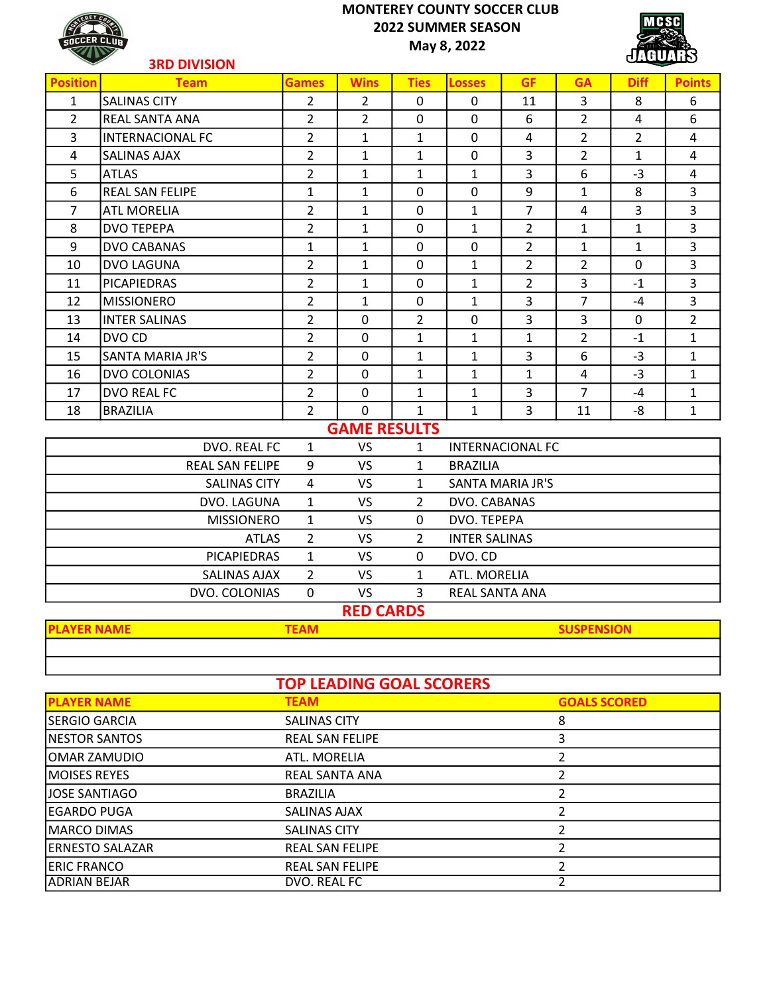# MONTEREY COUNTY SOCCER CLUB 2022 SUMMER SEASON



May 8, 2022



|                    | <b>3RD DIVISION</b>     |                |                     |                            |                      |                         |                | dilump         |                |
|--------------------|-------------------------|----------------|---------------------|----------------------------|----------------------|-------------------------|----------------|----------------|----------------|
| <b>Position</b>    | <b>Team</b>             | <b>Games</b>   | <b>Wins</b>         | <b>Ties</b>                | <b>Losses</b>        | <b>GF</b>               | <b>GA</b>      | <b>Diff</b>    | <b>Points</b>  |
| $\mathbf{1}$       | <b>SALINAS CITY</b>     | $\overline{2}$ | 2                   | $\Omega$                   | $\mathbf 0$          | 11                      | 3              | 8              | 6              |
| $\overline{2}$     | <b>REAL SANTA ANA</b>   | $\overline{2}$ | $\overline{2}$      | $\mathbf 0$                | $\mathbf 0$          | 6                       | $\overline{2}$ | 4              | 6              |
| 3                  | <b>INTERNACIONAL FC</b> | $\overline{2}$ | $\mathbf{1}$        | 1                          | $\mathbf 0$          | 4                       | $\overline{2}$ | $\overline{2}$ | 4              |
| 4                  | <b>SALINAS AJAX</b>     | $\overline{2}$ | $\mathbf{1}$        | $\mathbf{1}$               | $\mathbf 0$          | 3                       | $\overline{2}$ | $\mathbf{1}$   | 4              |
| 5                  | <b>ATLAS</b>            | 2              | 1                   | 1                          | 1                    | $\overline{3}$          | 6              | $-3$           | 4              |
| 6                  | <b>REAL SAN FELIPE</b>  | $\mathbf{1}$   | $\mathbf{1}$        | $\mathbf{0}$               | $\mathbf 0$          | 9                       | $\mathbf{1}$   | 8              | 3              |
| $\overline{7}$     | <b>ATL MORELIA</b>      | 2              | 1                   | $\mathbf 0$                | $\mathbf{1}$         | $\overline{7}$          | 4              | 3              | 3              |
| 8                  | <b>DVO TEPEPA</b>       | $\overline{2}$ | $\mathbf{1}$        | $\mathbf 0$                | $\mathbf{1}$         | $\overline{2}$          | $\mathbf{1}$   | $\mathbf{1}$   | 3              |
| 9                  | <b>DVO CABANAS</b>      | $\mathbf{1}$   | 1                   | $\mathbf 0$                | $\mathbf 0$          | $\overline{2}$          | $\mathbf{1}$   | $\mathbf{1}$   | 3              |
| 10                 | <b>DVO LAGUNA</b>       | 2              | $\mathbf{1}$        | $\mathbf 0$                | $\mathbf{1}$         | $\overline{2}$          | $\overline{2}$ | $\mathbf 0$    | 3              |
| 11                 | <b>PICAPIEDRAS</b>      | $\overline{2}$ | $\mathbf{1}$        | $\mathbf 0$                | $\mathbf{1}$         | $\overline{2}$          | 3              | $-1$           | 3              |
| 12                 | <b>MISSIONERO</b>       | $\overline{2}$ | 1                   | $\mathbf 0$                | 1                    | 3                       | $\overline{7}$ | $-4$           | 3              |
| 13                 | <b>INTER SALINAS</b>    | 2              | $\mathbf 0$         | $\overline{2}$             | 0                    | 3                       | 3              | $\mathbf 0$    | $\overline{2}$ |
| 14                 | DVO CD                  | $\overline{2}$ | $\mathbf 0$         | $\mathbf{1}$               | $\mathbf{1}$         | $\mathbf{1}$            | $\overline{2}$ | $-1$           | $\mathbf{1}$   |
| 15                 | <b>SANTA MARIA JR'S</b> | $\overline{2}$ | $\mathbf 0$         | $\mathbf{1}$               | $\mathbf{1}$         | 3                       | 6              | $-3$           | $\mathbf{1}$   |
| 16                 | DVO COLONIAS            | $\overline{2}$ | $\mathbf 0$         | 1                          | 1                    | $\mathbf{1}$            | 4              | $-3$           | $\mathbf{1}$   |
| 17                 | DVO REAL FC             | $\overline{2}$ | $\mathbf 0$         | $\mathbf{1}$               | $\mathbf{1}$         | $\overline{3}$          | $\overline{7}$ | $-4$           | $\mathbf{1}$   |
| 18                 | <b>BRAZILIA</b>         | $\overline{2}$ | $\mathbf 0$         | $\mathbf{1}$               | $\mathbf{1}$         | 3                       | 11             | -8             | $\mathbf{1}$   |
|                    |                         |                | <b>GAME RESULTS</b> |                            |                      |                         |                |                |                |
|                    | DVO. REAL FC            | 1              | <b>VS</b>           | 1                          |                      | <b>INTERNACIONAL FC</b> |                |                |                |
|                    | REAL SAN FELIPE         | 9              | <b>VS</b>           | $\mathbf{1}$               | <b>BRAZILIA</b>      |                         |                |                |                |
|                    | <b>SALINAS CITY</b>     | $\overline{4}$ | <b>VS</b>           | $\mathbf{1}$               |                      | <b>SANTA MARIA JR'S</b> |                |                |                |
|                    | DVO. LAGUNA             | 1              | <b>VS</b>           | $\overline{2}$             | DVO. CABANAS         |                         |                |                |                |
|                    | <b>MISSIONERO</b>       | $\mathbf{1}$   | <b>VS</b>           | $\mathbf 0$<br>DVO. TEPEPA |                      |                         |                |                |                |
|                    | <b>ATLAS</b>            | $\overline{2}$ | <b>VS</b>           | $\overline{2}$             | <b>INTER SALINAS</b> |                         |                |                |                |
|                    | <b>PICAPIEDRAS</b>      | $\mathbf{1}$   | VS.                 | 0                          | DVO. CD              |                         |                |                |                |
|                    | <b>SALINAS AJAX</b>     | $\overline{2}$ | <b>VS</b>           | $\mathbf{1}$               | ATL. MORELIA         |                         |                |                |                |
|                    | DVO. COLONIAS           | $\Omega$       | <b>VS</b>           | 3                          | REAL SANTA ANA       |                         |                |                |                |
|                    |                         |                | <b>RED CARDS</b>    |                            |                      |                         |                |                |                |
| ma assume acanomic |                         | <u>.</u>       |                     |                            |                      |                         | A              |                |                |

| AYFK NAIVIF | <b>FAM</b> | <b>SUSPENSION</b> |
|-------------|------------|-------------------|
|             |            |                   |
|             |            |                   |

| <b>TOP LEADING GOAL SCORERS</b> |                        |                     |  |  |  |  |  |  |
|---------------------------------|------------------------|---------------------|--|--|--|--|--|--|
| <b>PLAYER NAME</b>              | <b>TEAM</b>            | <b>GOALS SCORED</b> |  |  |  |  |  |  |
| <b>SERGIO GARCIA</b>            | <b>SALINAS CITY</b>    | 8                   |  |  |  |  |  |  |
| <b>INESTOR SANTOS</b>           | <b>REAL SAN FELIPE</b> |                     |  |  |  |  |  |  |
| OMAR ZAMUDIO                    | ATL. MORELIA           |                     |  |  |  |  |  |  |
| <b>IMOISES REYES</b>            | REAL SANTA ANA         |                     |  |  |  |  |  |  |
| LJOSE SANTIAGO                  | <b>BRAZILIA</b>        |                     |  |  |  |  |  |  |
| <b>EGARDO PUGA</b>              | SALINAS AJAX           |                     |  |  |  |  |  |  |
| <b>MARCO DIMAS</b>              | <b>SALINAS CITY</b>    |                     |  |  |  |  |  |  |
| <b>ERNESTO SALAZAR</b>          | <b>REAL SAN FELIPE</b> |                     |  |  |  |  |  |  |
| <b>ERIC FRANCO</b>              | <b>REAL SAN FELIPE</b> |                     |  |  |  |  |  |  |
| IADRIAN BEJAR                   | DVO. REAL FC           |                     |  |  |  |  |  |  |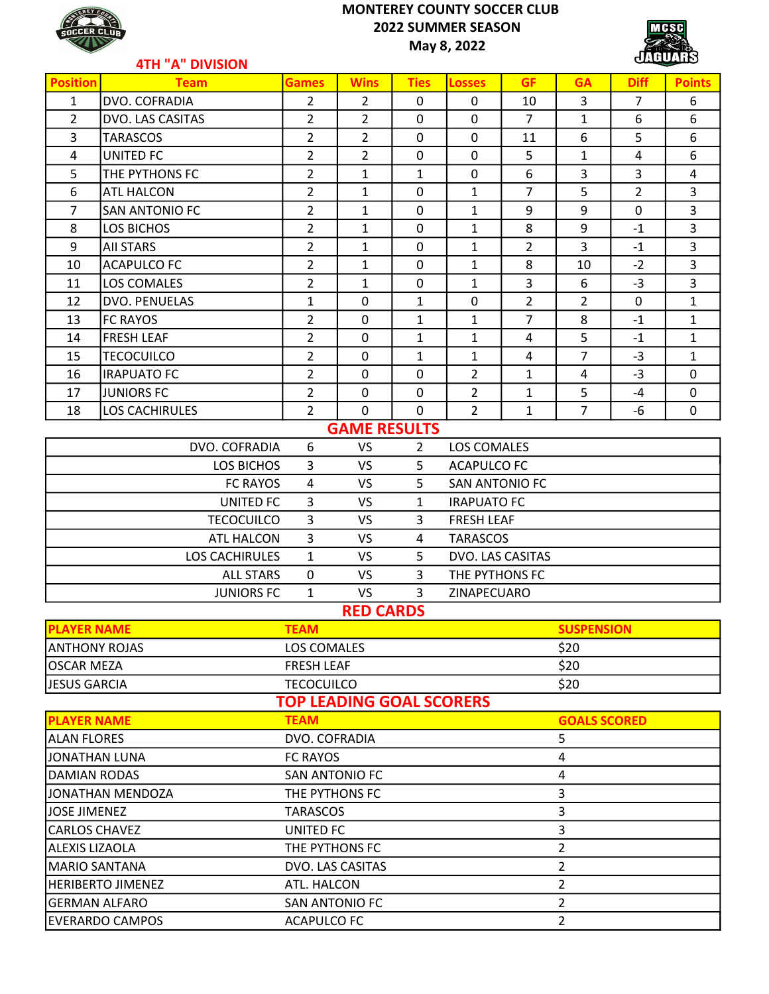### MONTEREY COUNTY SOCCER CLUB 2022 SUMMER SEASON May 8, 2022



### 4TH "A" DIVISION

| <b>HIN A DIVISION</b> |                       |                                 |                  |                |                       |                |                     |                |                |
|-----------------------|-----------------------|---------------------------------|------------------|----------------|-----------------------|----------------|---------------------|----------------|----------------|
| <b>Position</b>       | <b>Team</b>           | <b>Games</b>                    | <b>Wins</b>      | <b>Ties</b>    | <b>Losses</b>         | <b>GF</b>      | <b>GA</b>           | <b>Diff</b>    | <b>Points</b>  |
| $\mathbf{1}$          | DVO. COFRADIA         | $\overline{2}$                  | $\overline{2}$   | $\mathbf 0$    | $\mathbf 0$           | 10             | 3                   | $\overline{7}$ | 6              |
| $\overline{2}$        | DVO. LAS CASITAS      | $\overline{2}$                  | $\overline{2}$   | 0              | 0                     | $\overline{7}$ | $\mathbf{1}$        | 6              | 6              |
| 3                     | <b>TARASCOS</b>       | $\overline{2}$                  | $\overline{2}$   | $\mathbf 0$    | 0                     | 11             | 6                   | 5              | 6              |
| 4                     | <b>UNITED FC</b>      | 2                               | $\overline{2}$   | 0              | 0                     | 5              | $\mathbf{1}$        | 4              | 6              |
| 5                     | THE PYTHONS FC        | $\overline{2}$                  | $\mathbf{1}$     | $\mathbf{1}$   | 0                     | 6              | 3                   | 3              | 4              |
| 6                     | <b>ATL HALCON</b>     | 2                               | $\mathbf{1}$     | $\mathbf 0$    | $\mathbf{1}$          | $\overline{7}$ | 5                   | $\overline{2}$ | 3              |
| $\overline{7}$        | <b>SAN ANTONIO FC</b> | 2                               | 1                | 0              | $\mathbf{1}$          | 9              | 9                   | $\mathbf 0$    | 3              |
| 8                     | <b>LOS BICHOS</b>     | $\overline{2}$                  | $\mathbf{1}$     | $\mathbf 0$    | $\mathbf{1}$          | 8              | 9                   | $-1$           | $\overline{3}$ |
| 9                     | <b>AII STARS</b>      | 2                               | $\mathbf{1}$     | $\pmb{0}$      | $\mathbf{1}$          | $\overline{2}$ | 3                   | $-1$           | 3              |
| 10                    | <b>ACAPULCO FC</b>    | 2                               | 1                | $\mathbf 0$    | $\mathbf{1}$          | 8              | 10                  | $-2$           | 3              |
| 11                    | <b>LOS COMALES</b>    | 2                               | $\mathbf{1}$     | $\mathbf 0$    | $\mathbf{1}$          | 3              | 6                   | $-3$           | 3              |
| 12                    | DVO. PENUELAS         | 1                               | 0                | 1              | 0                     | $\overline{2}$ | $\overline{2}$      | $\mathbf{0}$   | $\mathbf{1}$   |
| 13                    | <b>FC RAYOS</b>       | 2                               | 0                | $\mathbf{1}$   | $\mathbf{1}$          | $\overline{7}$ | 8                   | $-1$           | $\mathbf{1}$   |
| 14                    | <b>FRESH LEAF</b>     | $\overline{2}$                  | 0                | $\mathbf{1}$   | $\mathbf{1}$          | 4              | 5                   | $-1$           | $\mathbf{1}$   |
| 15                    | <b>TECOCUILCO</b>     | 2                               | 0                | $\mathbf{1}$   | $\mathbf{1}$          | 4              | $\overline{7}$      | $-3$           | $\mathbf{1}$   |
| 16                    | <b>IRAPUATO FC</b>    | $\overline{2}$                  | $\mathbf 0$      | 0              | $\overline{2}$        | $\mathbf{1}$   | $\overline{4}$      | $-3$           | 0              |
| 17                    | <b>JUNIORS FC</b>     | $\overline{2}$                  | 0                | $\mathbf 0$    | $\overline{2}$        | 1              | 5                   | $-4$           | 0              |
| 18                    | <b>LOS CACHIRULES</b> | 2                               | 0                | 0              | $\overline{2}$        | 1              | $\overline{7}$      | $-6$           | 0              |
|                       | <b>GAME RESULTS</b>   |                                 |                  |                |                       |                |                     |                |                |
|                       | DVO. COFRADIA         | 6                               | <b>VS</b>        | $\overline{2}$ | LOS COMALES           |                |                     |                |                |
|                       | <b>LOS BICHOS</b>     | 3                               | <b>VS</b>        | 5              | <b>ACAPULCO FC</b>    |                |                     |                |                |
|                       | <b>FC RAYOS</b>       | 4                               | <b>VS</b>        | 5              | <b>SAN ANTONIO FC</b> |                |                     |                |                |
|                       | <b>UNITED FC</b>      | 3                               | <b>VS</b>        | $\mathbf{1}$   | <b>IRAPUATO FC</b>    |                |                     |                |                |
|                       | <b>TECOCUILCO</b>     | 3                               | <b>VS</b>        | 3              | <b>FRESH LEAF</b>     |                |                     |                |                |
|                       | ATL HALCON            | 3                               | <b>VS</b>        | 4              | <b>TARASCOS</b>       |                |                     |                |                |
|                       | <b>LOS CACHIRULES</b> | 1                               | <b>VS</b>        | 5              | DVO. LAS CASITAS      |                |                     |                |                |
|                       | <b>ALL STARS</b>      | $\mathbf{0}$                    | <b>VS</b>        | $\overline{3}$ | THE PYTHONS FC        |                |                     |                |                |
|                       | <b>JUNIORS FC</b>     | 1                               | <b>VS</b>        | 3              | ZINAPECUARO           |                |                     |                |                |
|                       |                       |                                 | <b>RED CARDS</b> |                |                       |                |                     |                |                |
| <b>PLAYER NAME</b>    |                       | <b>TEAM</b>                     |                  |                |                       |                | <b>SUSPENSION</b>   |                |                |
| <b>ANTHONY ROJAS</b>  |                       | LOS COMALES                     |                  |                | \$20                  |                |                     |                |                |
| <b>OSCAR MEZA</b>     |                       | <b>FRESH LEAF</b>               |                  |                |                       |                | \$20                |                |                |
| JESUS GARCIA          |                       | <b>TECOCUILCO</b>               |                  |                |                       |                | \$20                |                |                |
|                       |                       | <b>TOP LEADING GOAL SCORERS</b> |                  |                |                       |                |                     |                |                |
| <b>PLAYER NAME</b>    |                       | <b>TEAM</b>                     |                  |                |                       |                | <b>GOALS SCORED</b> |                |                |
| <b>ALAN FLORES</b>    |                       | DVO. COFRADIA                   |                  |                | 5                     |                |                     |                |                |
| JONATHAN LUNA         |                       | <b>FC RAYOS</b>                 |                  |                | 4                     |                |                     |                |                |
| <b>DAMIAN RODAS</b>   |                       | SAN ANTONIO FC                  |                  |                | 4                     |                |                     |                |                |
|                       | JONATHAN MENDOZA      | THE PYTHONS FC                  |                  |                |                       | $\overline{3}$ |                     |                |                |

JOSE JIMENEZ 3 CARLOS CHAVEZ **UNITED FC** 3 ALEXIS LIZAOLA 2 MARIO SANTANA DVO. LAS CASITAS 2 HERIBERTO JIMENEZ **ATL. HALCON** 2 GERMAN ALFARO SAN ANTONIO FC 2 EVERARDO CAMPOS ACAPULCO FC 2

**ACAPULCO FC**